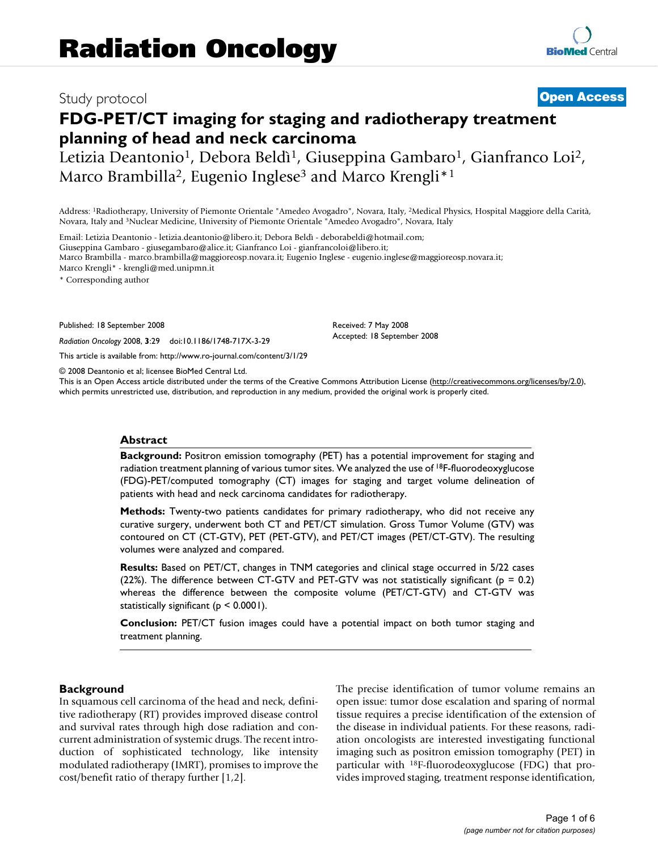# Study protocol **[Open Access](http://www.biomedcentral.com/info/about/charter/)**

# **FDG-PET/CT imaging for staging and radiotherapy treatment planning of head and neck carcinoma**

Letizia Deantonio<sup>1</sup>, Debora Beldì<sup>1</sup>, Giuseppina Gambaro<sup>1</sup>, Gianfranco Loi<sup>2</sup>, Marco Brambilla<sup>2</sup>, Eugenio Inglese<sup>3</sup> and Marco Krengli<sup>\*1</sup>

Address: 1Radiotherapy, University of Piemonte Orientale "Amedeo Avogadro", Novara, Italy, 2Medical Physics, Hospital Maggiore della Carità, Novara, Italy and 3Nuclear Medicine, University of Piemonte Orientale "Amedeo Avogadro", Novara, Italy

Email: Letizia Deantonio - letizia.deantonio@libero.it; Debora Beldì - deborabeldi@hotmail.com;

Giuseppina Gambaro - giusegambaro@alice.it; Gianfranco Loi - gianfrancoloi@libero.it;

Marco Brambilla - marco.brambilla@maggioreosp.novara.it; Eugenio Inglese - eugenio.inglese@maggioreosp.novara.it;

Marco Krengli\* - krengli@med.unipmn.it

\* Corresponding author

Published: 18 September 2008

*Radiation Oncology* 2008, **3**:29 doi:10.1186/1748-717X-3-29

[This article is available from: http://www.ro-journal.com/content/3/1/29](http://www.ro-journal.com/content/3/1/29)

© 2008 Deantonio et al; licensee BioMed Central Ltd.

This is an Open Access article distributed under the terms of the Creative Commons Attribution License [\(http://creativecommons.org/licenses/by/2.0\)](http://creativecommons.org/licenses/by/2.0), which permits unrestricted use, distribution, and reproduction in any medium, provided the original work is properly cited.

Received: 7 May 2008 Accepted: 18 September 2008

# **Abstract**

**Background:** Positron emission tomography (PET) has a potential improvement for staging and radiation treatment planning of various tumor sites. We analyzed the use of 18F-fluorodeoxyglucose (FDG)-PET/computed tomography (CT) images for staging and target volume delineation of patients with head and neck carcinoma candidates for radiotherapy.

**Methods:** Twenty-two patients candidates for primary radiotherapy, who did not receive any curative surgery, underwent both CT and PET/CT simulation. Gross Tumor Volume (GTV) was contoured on CT (CT-GTV), PET (PET-GTV), and PET/CT images (PET/CT-GTV). The resulting volumes were analyzed and compared.

**Results:** Based on PET/CT, changes in TNM categories and clinical stage occurred in 5/22 cases (22%). The difference between CT-GTV and PET-GTV was not statistically significant ( $p = 0.2$ ) whereas the difference between the composite volume (PET/CT-GTV) and CT-GTV was statistically significant ( $p < 0.0001$ ).

**Conclusion:** PET/CT fusion images could have a potential impact on both tumor staging and treatment planning.

# **Background**

In squamous cell carcinoma of the head and neck, definitive radiotherapy (RT) provides improved disease control and survival rates through high dose radiation and concurrent administration of systemic drugs. The recent introduction of sophisticated technology, like intensity modulated radiotherapy (IMRT), promises to improve the cost/benefit ratio of therapy further [1,2].

The precise identification of tumor volume remains an open issue: tumor dose escalation and sparing of normal tissue requires a precise identification of the extension of the disease in individual patients. For these reasons, radiation oncologists are interested investigating functional imaging such as positron emission tomography (PET) in particular with 18F-fluorodeoxyglucose (FDG) that provides improved staging, treatment response identification,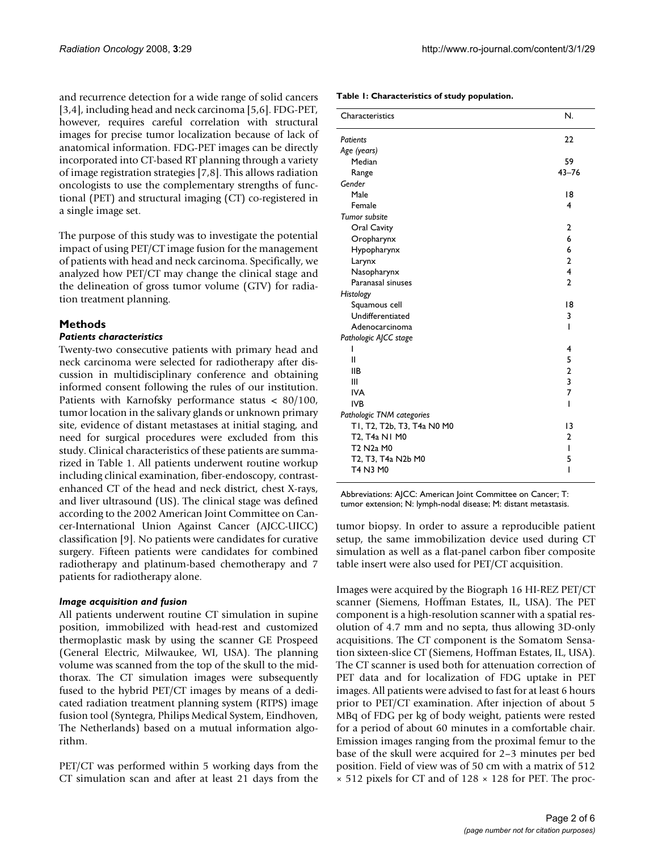and recurrence detection for a wide range of solid cancers [3[,4\]](#page-5-0), including head and neck carcinoma [5,6]. FDG-PET, however, requires careful correlation with structural images for precise tumor localization because of lack of anatomical information. FDG-PET images can be directly incorporated into CT-based RT planning through a variety of image registration strategies [7,8]. This allows radiation oncologists to use the complementary strengths of functional (PET) and structural imaging (CT) co-registered in a single image set.

The purpose of this study was to investigate the potential impact of using PET/CT image fusion for the management of patients with head and neck carcinoma. Specifically, we analyzed how PET/CT may change the clinical stage and the delineation of gross tumor volume (GTV) for radiation treatment planning.

# **Methods**

### *Patients characteristics*

Twenty-two consecutive patients with primary head and neck carcinoma were selected for radiotherapy after discussion in multidisciplinary conference and obtaining informed consent following the rules of our institution. Patients with Karnofsky performance status < 80/100, tumor location in the salivary glands or unknown primary site, evidence of distant metastases at initial staging, and need for surgical procedures were excluded from this study. Clinical characteristics of these patients are summarized in Table 1. All patients underwent routine workup including clinical examination, fiber-endoscopy, contrastenhanced CT of the head and neck district, chest X-rays, and liver ultrasound (US). The clinical stage was defined according to the 2002 American Joint Committee on Cancer-International Union Against Cancer (AJCC-UICC) classification [9]. No patients were candidates for curative surgery. Fifteen patients were candidates for combined radiotherapy and platinum-based chemotherapy and 7 patients for radiotherapy alone.

#### *Image acquisition and fusion*

All patients underwent routine CT simulation in supine position, immobilized with head-rest and customized thermoplastic mask by using the scanner GE Prospeed (General Electric, Milwaukee, WI, USA). The planning volume was scanned from the top of the skull to the midthorax. The CT simulation images were subsequently fused to the hybrid PET/CT images by means of a dedicated radiation treatment planning system (RTPS) image fusion tool (Syntegra, Philips Medical System, Eindhoven, The Netherlands) based on a mutual information algorithm.

PET/CT was performed within 5 working days from the CT simulation scan and after at least 21 days from the

#### **Table 1: Characteristics of study population.**

| Characteristics                                | N.                      |
|------------------------------------------------|-------------------------|
| Patients                                       | 22                      |
| Age (years)                                    |                         |
| Median                                         | 59                      |
| Range                                          | $43 - 76$               |
| Gender                                         |                         |
| Male                                           | 18                      |
| Female                                         | 4                       |
| <b>Tumor subsite</b>                           |                         |
| Oral Cavity                                    | 2                       |
| Oropharynx                                     | 6                       |
| Hypopharynx                                    | 6                       |
| Larynx                                         | $\overline{a}$          |
| Nasopharynx                                    | $\overline{\mathbf{4}}$ |
| Paranasal sinuses                              | $\overline{2}$          |
| Histology                                      |                         |
| Squamous cell                                  | 18                      |
| Undifferentiated                               | 3                       |
| Adenocarcinoma                                 | ı                       |
| Pathologic AJCC stage                          |                         |
| ı                                              | 4                       |
| Ш                                              | 5                       |
| <b>IIB</b>                                     | $\overline{a}$          |
| Ш                                              | 3                       |
| <b>IVA</b>                                     | 7                       |
| <b>IVB</b>                                     | ı                       |
| Pathologic TNM categories                      |                         |
| T1, T2, T2b, T3, T4a N0 M0                     | 13                      |
| T2, T4a N1 M0                                  | 2                       |
| T <sub>2</sub> N <sub>2</sub> a M <sub>0</sub> | I                       |
| T2, T3, T4a N2b M0                             | 5                       |
| T4 N3 M0                                       | ı                       |
|                                                |                         |

Abbreviations: AJCC: American Joint Committee on Cancer; T: tumor extension; N: lymph-nodal disease; M: distant metastasis.

tumor biopsy. In order to assure a reproducible patient setup, the same immobilization device used during CT simulation as well as a flat-panel carbon fiber composite table insert were also used for PET/CT acquisition.

Images were acquired by the Biograph 16 HI-REZ PET/CT scanner (Siemens, Hoffman Estates, IL, USA). The PET component is a high-resolution scanner with a spatial resolution of 4.7 mm and no septa, thus allowing 3D-only acquisitions. The CT component is the Somatom Sensation sixteen-slice CT (Siemens, Hoffman Estates, IL, USA). The CT scanner is used both for attenuation correction of PET data and for localization of FDG uptake in PET images. All patients were advised to fast for at least 6 hours prior to PET/CT examination. After injection of about 5 MBq of FDG per kg of body weight, patients were rested for a period of about 60 minutes in a comfortable chair. Emission images ranging from the proximal femur to the base of the skull were acquired for 2–3 minutes per bed position. Field of view was of 50 cm with a matrix of 512 × 512 pixels for CT and of 128 × 128 for PET. The proc-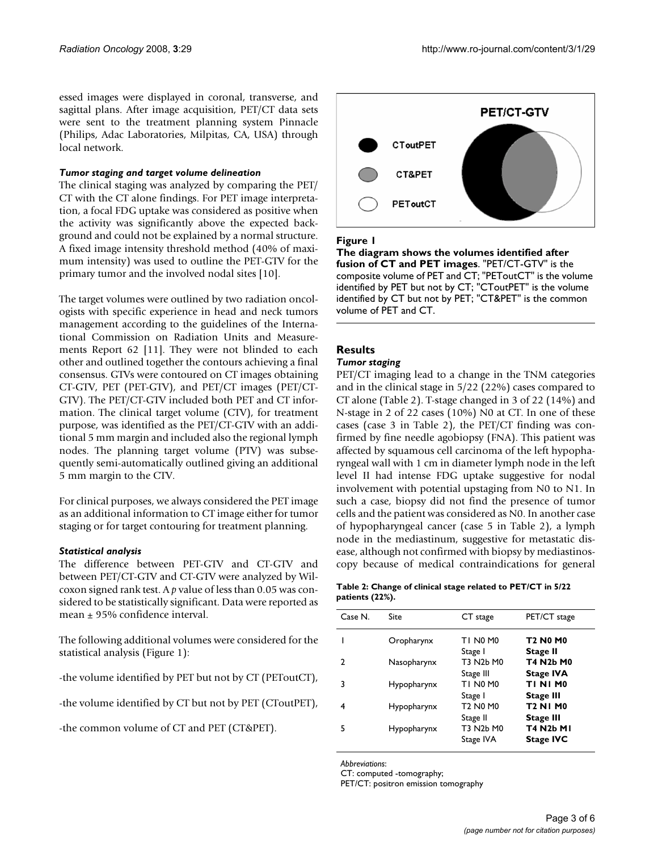essed images were displayed in coronal, transverse, and sagittal plans. After image acquisition, PET/CT data sets were sent to the treatment planning system Pinnacle (Philips, Adac Laboratories, Milpitas, CA, USA) through local network.

#### *Tumor staging and target volume delineation*

The clinical staging was analyzed by comparing the PET/ CT with the CT alone findings. For PET image interpretation, a focal FDG uptake was considered as positive when the activity was significantly above the expected background and could not be explained by a normal structure. A fixed image intensity threshold method (40% of maximum intensity) was used to outline the PET-GTV for the primary tumor and the involved nodal sites [10].

The target volumes were outlined by two radiation oncologists with specific experience in head and neck tumors management according to the guidelines of the International Commission on Radiation Units and Measurements Report 62 [11]. They were not blinded to each other and outlined together the contours achieving a final consensus. GTVs were contoured on CT images obtaining CT-GTV, PET (PET-GTV), and PET/CT images (PET/CT-GTV). The PET/CT-GTV included both PET and CT information. The clinical target volume (CTV), for treatment purpose, was identified as the PET/CT-GTV with an additional 5 mm margin and included also the regional lymph nodes. The planning target volume (PTV) was subsequently semi-automatically outlined giving an additional 5 mm margin to the CTV.

For clinical purposes, we always considered the PET image as an additional information to CT image either for tumor staging or for target contouring for treatment planning.

#### *Statistical analysis*

The difference between PET-GTV and CT-GTV and between PET/CT-GTV and CT-GTV were analyzed by Wilcoxon signed rank test. A *p* value of less than 0.05 was considered to be statistically significant. Data were reported as mean ± 95% confidence interval.

The following additional volumes were considered for the statistical analysis (Figure 1):

-the volume identified by PET but not by CT (PEToutCT),

-the volume identified by CT but not by PET (CToutPET),

-the common volume of CT and PET (CT&PET).



#### Figure 1

**The diagram shows the volumes identified after fusion of CT and PET images**. "PET/CT-GTV" is the composite volume of PET and CT; "PEToutCT" is the volume identified by PET but not by CT; "CToutPET" is the volume identified by CT but not by PET; "CT&PET" is the common volume of PET and CT.

# **Results**

#### *Tumor staging*

PET/CT imaging lead to a change in the TNM categories and in the clinical stage in 5/22 (22%) cases compared to CT alone (Table 2). T-stage changed in 3 of 22 (14%) and N-stage in 2 of 22 cases (10%) N0 at CT. In one of these cases (case 3 in Table 2), the PET/CT finding was confirmed by fine needle agobiopsy (FNA). This patient was affected by squamous cell carcinoma of the left hypopharyngeal wall with 1 cm in diameter lymph node in the left level II had intense FDG uptake suggestive for nodal involvement with potential upstaging from N0 to N1. In such a case, biopsy did not find the presence of tumor cells and the patient was considered as N0. In another case of hypopharyngeal cancer (case 5 in Table 2), a lymph node in the mediastinum, suggestive for metastatic disease, although not confirmed with biopsy by mediastinoscopy because of medical contraindications for general

|                 | Table 2: Change of clinical stage related to PET/CT in 5/22 |  |  |  |  |
|-----------------|-------------------------------------------------------------|--|--|--|--|
| patients (22%). |                                                             |  |  |  |  |

| Case N.       | Site        | CT stage                                     | PET/CT stage                               |
|---------------|-------------|----------------------------------------------|--------------------------------------------|
|               | Oropharynx  | TIN0M0<br>Stage I                            | <b>T2 N0 M0</b><br>Stage II                |
| $\mathcal{P}$ | Nasopharynx | T3 N2b M0                                    | T4 N2b M0                                  |
| 3             | Hypopharynx | Stage III<br>TIN0M0                          | <b>Stage IVA</b><br>TI NI MO               |
|               |             | Stage I                                      | <b>Stage III</b>                           |
| 4             | Hypopharynx | T <sub>2</sub> N <sub>0</sub> M <sub>0</sub> | <b>T2 N1 M0</b>                            |
| 5             | Hypopharynx | Stage II<br>T3 N2b M0<br>Stage IVA           | Stage III<br>T4 N2b MI<br><b>Stage IVC</b> |

*Abbreviations*:

CT: computed -tomography;

PET/CT: positron emission tomography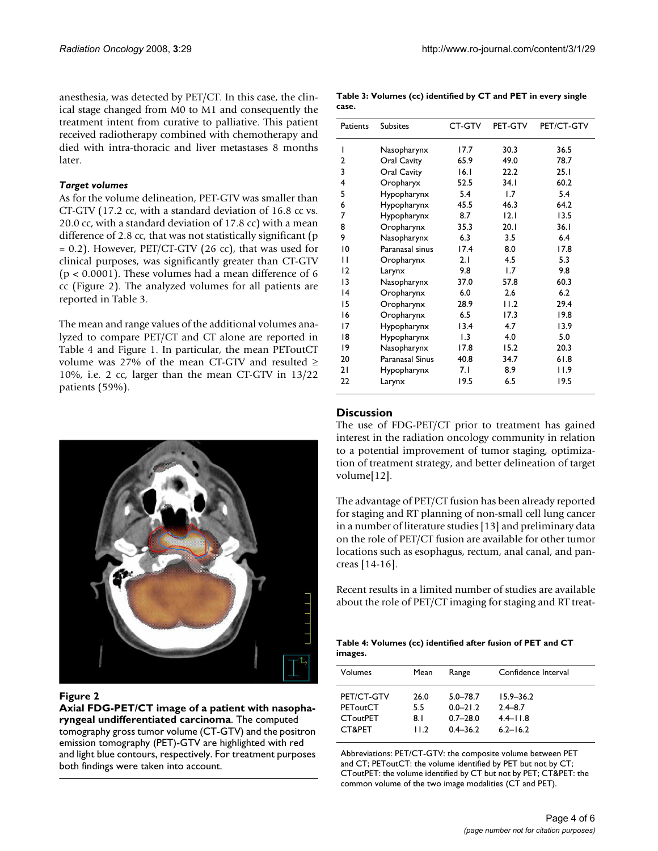anesthesia, was detected by PET/CT. In this case, the clinical stage changed from M0 to M1 and consequently the treatment intent from curative to palliative. This patient received radiotherapy combined with chemotherapy and died with intra-thoracic and liver metastases 8 months later.

#### *Target volumes*

As for the volume delineation, PET-GTV was smaller than CT-GTV (17.2 cc, with a standard deviation of 16.8 cc vs. 20.0 cc, with a standard deviation of 17.8 cc) with a mean difference of 2.8 cc, that was not statistically significant (p  $= 0.2$ ). However, PET/CT-GTV (26 cc), that was used for clinical purposes, was significantly greater than CT-GTV ( $p < 0.0001$ ). These volumes had a mean difference of 6 cc (Figure 2). The analyzed volumes for all patients are reported in Table 3.

The mean and range values of the additional volumes analyzed to compare PET/CT and CT alone are reported in Table 4 and Figure 1. In particular, the mean PEToutCT volume was 27% of the mean CT-GTV and resulted  $\geq$ 10%, i.e. 2 cc, larger than the mean CT-GTV in 13/22 patients (59%).



#### Figure 2

**Axial FDG-PET/CT image of a patient with nasopharyngeal undifferentiated carcinoma**. The computed tomography gross tumor volume (CT-GTV) and the positron emission tomography (PET)-GTV are highlighted with red and light blue contours, respectively. For treatment purposes both findings were taken into account.

**Table 3: Volumes (cc) identified by CT and PET in every single case.**

| Patients     | <b>Subsites</b> | CT-GTV | PET-GTV | PET/CT-GTV |
|--------------|-----------------|--------|---------|------------|
| ı            | Nasopharynx     | 17.7   | 30.3    | 36.5       |
| $\mathbf{2}$ | Oral Cavity     | 65.9   | 49.0    | 78.7       |
| 3            | Oral Cavity     | 16.1   | 22.2    | 25.1       |
| 4            | Oropharyx       | 52.5   | 34.1    | 60.2       |
| 5            | Hypopharynx     | 5.4    | 1.7     | 5.4        |
| 6            | Hypopharynx     | 45.5   | 46.3    | 64.2       |
| 7            | Hypopharynx     | 8.7    | 12.1    | 13.5       |
| 8            | Oropharynx      | 35.3   | 20.1    | 36.1       |
| 9            | Nasopharynx     | 6.3    | 3.5     | 6.4        |
| 10           | Paranasal sinus | 17.4   | 8.0     | 17.8       |
| П            | Oropharynx      | 2.1    | 4.5     | 5.3        |
| 12           | Larynx          | 9.8    | 1.7     | 9.8        |
| 13           | Nasopharynx     | 37.0   | 57.8    | 60.3       |
| 4            | Oropharynx      | 6.0    | 2.6     | 6.2        |
| 15           | Oropharynx      | 28.9   | 11.2    | 29.4       |
| 16           | Oropharynx      | 6.5    | 17.3    | 19.8       |
| 17           | Hypopharynx     | 13.4   | 4.7     | 13.9       |
| 18           | Hypopharynx     | 1.3    | 4.0     | 5.0        |
| 19           | Nasopharynx     | 17.8   | 15.2    | 20.3       |
| 20           | Paranasal Sinus | 40.8   | 34.7    | 61.8       |
| 21           | Hypopharynx     | 7.1    | 8.9     | 11.9       |
| 22           | Larynx          | 19.5   | 6.5     | 19.5       |

# **Discussion**

The use of FDG-PET/CT prior to treatment has gained interest in the radiation oncology community in relation to a potential improvement of tumor staging, optimization of treatment strategy, and better delineation of target volume[12].

The advantage of PET/CT fusion has been already reported for staging and RT planning of non-small cell lung cancer in a number of literature studies [13] and preliminary data on the role of PET/CT fusion are available for other tumor locations such as esophagus, rectum, anal canal, and pancreas [14-16].

Recent results in a limited number of studies are available about the role of PET/CT imaging for staging and RT treat-

| Table 4: Volumes (cc) identified after fusion of PET and CT |  |  |
|-------------------------------------------------------------|--|--|
| images.                                                     |  |  |

| Volumes         | Mean | Range        | Confidence Interval |
|-----------------|------|--------------|---------------------|
|                 |      |              |                     |
| PET/CT-GTV      | 26.0 | $5.0 - 78.7$ | $15.9 - 36.2$       |
| PEToutCT        | 5.5  | $0.0 - 21.2$ | $2.4 - 8.7$         |
| <b>CToutPFT</b> | 8. I | $0.7 - 28.0$ | $4.4 - 11.8$        |
| CT&PFT          | 112  | $0.4 - 36.2$ | $6.2 - 16.2$        |

Abbreviations: PET/CT-GTV: the composite volume between PET and CT; PEToutCT: the volume identified by PET but not by CT; CToutPET: the volume identified by CT but not by PET; CT&PET: the common volume of the two image modalities (CT and PET).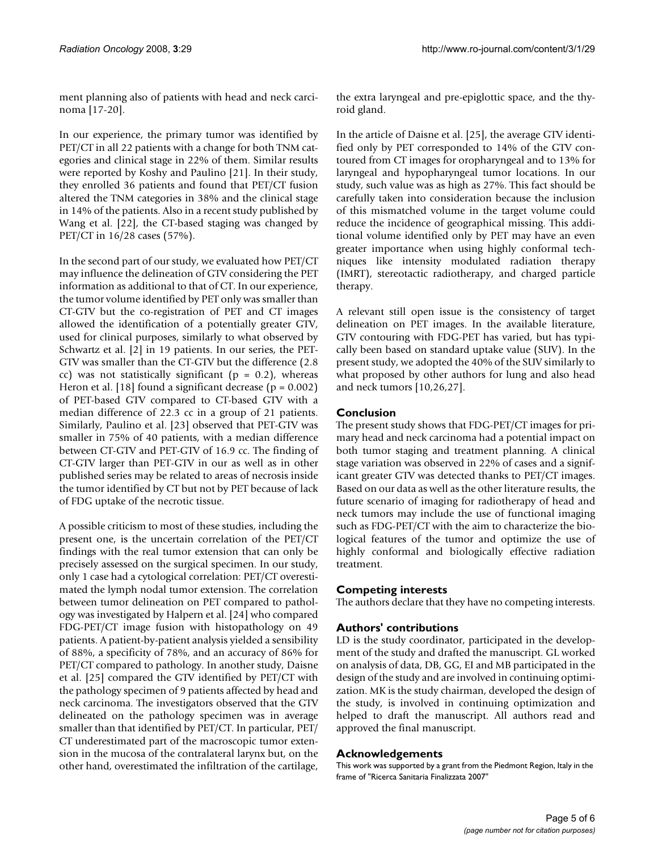ment planning also of patients with head and neck carcinoma [17-20].

In our experience, the primary tumor was identified by PET/CT in all 22 patients with a change for both TNM categories and clinical stage in 22% of them. Similar results were reported by Koshy and Paulino [21]. In their study, they enrolled 36 patients and found that PET/CT fusion altered the TNM categories in 38% and the clinical stage in 14% of the patients. Also in a recent study published by Wang et al. [22], the CT-based staging was changed by PET/CT in 16/28 cases (57%).

In the second part of our study, we evaluated how PET/CT may influence the delineation of GTV considering the PET information as additional to that of CT. In our experience, the tumor volume identified by PET only was smaller than CT-GTV but the co-registration of PET and CT images allowed the identification of a potentially greater GTV, used for clinical purposes, similarly to what observed by Schwartz et al. [2] in 19 patients. In our series, the PET-GTV was smaller than the CT-GTV but the difference (2.8 cc) was not statistically significant ( $p = 0.2$ ), whereas Heron et al. [18] found a significant decrease ( $p = 0.002$ ) of PET-based GTV compared to CT-based GTV with a median difference of 22.3 cc in a group of 21 patients. Similarly, Paulino et al. [23] observed that PET-GTV was smaller in 75% of 40 patients, with a median difference between CT-GTV and PET-GTV of 16.9 cc. The finding of CT-GTV larger than PET-GTV in our as well as in other published series may be related to areas of necrosis inside the tumor identified by CT but not by PET because of lack of FDG uptake of the necrotic tissue.

A possible criticism to most of these studies, including the present one, is the uncertain correlation of the PET/CT findings with the real tumor extension that can only be precisely assessed on the surgical specimen. In our study, only 1 case had a cytological correlation: PET/CT overestimated the lymph nodal tumor extension. The correlation between tumor delineation on PET compared to pathology was investigated by Halpern et al. [24] who compared FDG-PET/CT image fusion with histopathology on 49 patients. A patient-by-patient analysis yielded a sensibility of 88%, a specificity of 78%, and an accuracy of 86% for PET/CT compared to pathology. In another study, Daisne et al. [25] compared the GTV identified by PET/CT with the pathology specimen of 9 patients affected by head and neck carcinoma. The investigators observed that the GTV delineated on the pathology specimen was in average smaller than that identified by PET/CT. In particular, PET/ CT underestimated part of the macroscopic tumor extension in the mucosa of the contralateral larynx but, on the other hand, overestimated the infiltration of the cartilage,

the extra laryngeal and pre-epiglottic space, and the thyroid gland.

In the article of Daisne et al. [25], the average GTV identified only by PET corresponded to 14% of the GTV contoured from CT images for oropharyngeal and to 13% for laryngeal and hypopharyngeal tumor locations. In our study, such value was as high as 27%. This fact should be carefully taken into consideration because the inclusion of this mismatched volume in the target volume could reduce the incidence of geographical missing. This additional volume identified only by PET may have an even greater importance when using highly conformal techniques like intensity modulated radiation therapy (IMRT), stereotactic radiotherapy, and charged particle therapy.

A relevant still open issue is the consistency of target delineation on PET images. In the available literature, GTV contouring with FDG-PET has varied, but has typically been based on standard uptake value (SUV). In the present study, we adopted the 40% of the SUV similarly to what proposed by other authors for lung and also head and neck tumors [10,26,27].

# **Conclusion**

The present study shows that FDG-PET/CT images for primary head and neck carcinoma had a potential impact on both tumor staging and treatment planning. A clinical stage variation was observed in 22% of cases and a significant greater GTV was detected thanks to PET/CT images. Based on our data as well as the other literature results, the future scenario of imaging for radiotherapy of head and neck tumors may include the use of functional imaging such as FDG-PET/CT with the aim to characterize the biological features of the tumor and optimize the use of highly conformal and biologically effective radiation treatment.

# **Competing interests**

The authors declare that they have no competing interests.

# **Authors' contributions**

LD is the study coordinator, participated in the development of the study and drafted the manuscript. GL worked on analysis of data, DB, GG, EI and MB participated in the design of the study and are involved in continuing optimization. MK is the study chairman, developed the design of the study, is involved in continuing optimization and helped to draft the manuscript. All authors read and approved the final manuscript.

# **Acknowledgements**

This work was supported by a grant from the Piedmont Region, Italy in the frame of "Ricerca Sanitaria Finalizzata 2007"